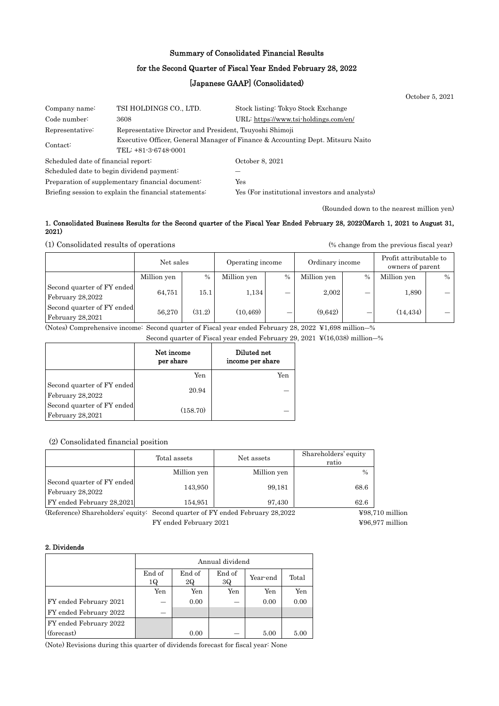## Summary of Consolidated Financial Results

### for the Second Quarter of Fiscal Year Ended February 28, 2022

## [Japanese GAAP] (Consolidated)

|                                                  |                                                                                |                                                | October 5, 2021 |  |  |
|--------------------------------------------------|--------------------------------------------------------------------------------|------------------------------------------------|-----------------|--|--|
| Company name:                                    | TSI HOLDINGS CO., LTD.                                                         | Stock listing: Tokyo Stock Exchange            |                 |  |  |
| Code number:                                     | 3608                                                                           | URL: https://www.tsi-holdings.com/en/          |                 |  |  |
| Representative:                                  | Representative Director and President, Tsuyoshi Shimoji                        |                                                |                 |  |  |
|                                                  | Executive Officer, General Manager of Finance & Accounting Dept. Mitsuru Naito |                                                |                 |  |  |
| Contact:                                         | TEL: +81-3-6748-0001                                                           |                                                |                 |  |  |
| Scheduled date of financial report:              |                                                                                | October 8, 2021                                |                 |  |  |
| Scheduled date to begin dividend payment:        |                                                                                |                                                |                 |  |  |
| Preparation of supplementary financial document: |                                                                                | Yes                                            |                 |  |  |
|                                                  | Briefing session to explain the financial statements:                          | Yes (For institutional investors and analysts) |                 |  |  |

(Rounded down to the nearest million yen)

### 1. Consolidated Business Results for the Second quarter of the Fiscal Year Ended February 28, 2022(March 1, 2021 to August 31, 2021)

(1) Consolidated results of operations (% change from the previous fiscal year)

|                                                | Net sales   |        | Operating income |      | Ordinary income |      | Profit attributable to<br>owners of parent |      |
|------------------------------------------------|-------------|--------|------------------|------|-----------------|------|--------------------------------------------|------|
|                                                | Million yen | $\%$   | Million yen      | $\%$ | Million yen     | $\%$ | Million yen                                | $\%$ |
| Second quarter of FY ended<br>February 28,2022 | 64,751      | 15.1   | 1,134            | _    | 2,002           | –    | 1,890                                      |      |
| Second quarter of FY ended<br>February 28,2021 | 56,270      | (31.2) | (10.469)         | _    | (9.642)         |      | (14, 434)                                  |      |

(Notes) Comprehensive income: Second quarter of Fiscal year ended February 28, 2022 ¥1,698 million―%

Second quarter of Fiscal year ended February 29, 2021 ¥(16,038) million―%

|                                                | Net income<br>per share | Diluted net<br>income per share |
|------------------------------------------------|-------------------------|---------------------------------|
|                                                | Yen                     | Yen                             |
| Second quarter of FY ended<br>February 28,2022 | 20.94                   |                                 |
| Second quarter of FY ended<br>February 28,2021 | (158.70)                |                                 |

### (2) Consolidated financial position

|                                                | Total assets | Net assets  | Shareholders' equity<br>ratio |
|------------------------------------------------|--------------|-------------|-------------------------------|
|                                                | Million yen  | Million yen | $\frac{0}{0}$                 |
| Second quarter of FY ended<br>February 28,2022 | 143,950      | 99,181      | 68.6                          |
| FY ended February 28,2021                      | 154,951      | 97,430      | 62.6                          |

(Reference) Shareholders' equity: Second quarter of FY ended February 28,2022 ¥98,710 million FY ended February 2021  $\text{Y96,977 million}$ 

### 2. Dividends

|                        | Annual dividend |              |              |          |       |  |
|------------------------|-----------------|--------------|--------------|----------|-------|--|
|                        | End of<br>1Q    | End of<br>2Q | End of<br>3Q | Year-end | Total |  |
|                        | Yen             | Yen          | Yen          | Yen      | Yen   |  |
| FY ended February 2021 |                 | 0.00         |              | 0.00     | 0.00  |  |
| FY ended February 2022 |                 |              |              |          |       |  |
| FY ended February 2022 |                 |              |              |          |       |  |
| (forecast)             |                 | 0.00         |              | 5.00     | 5.00  |  |

(Note) Revisions during this quarter of dividends forecast for fiscal year: None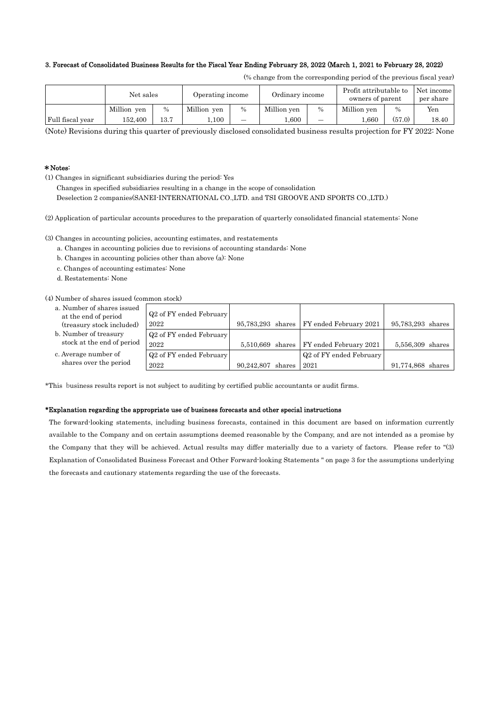### 3. Forecast of Consolidated Business Results for the Fiscal Year Ending February 28, 2022 (March 1, 2021 to February 28, 2022)

|  |  |  |  | (% change from the corresponding period of the previous fiscal year) |  |  |  |  |  |  |
|--|--|--|--|----------------------------------------------------------------------|--|--|--|--|--|--|
|--|--|--|--|----------------------------------------------------------------------|--|--|--|--|--|--|

|                  | Net sales   |          | Operating income |               | Ordinary income |                          | Profit attributable to<br>owners of parent |               | Net income<br>per share |
|------------------|-------------|----------|------------------|---------------|-----------------|--------------------------|--------------------------------------------|---------------|-------------------------|
|                  | Million yen | $\%$     | Million yen      | $\frac{0}{0}$ | Million yen     | $\%$                     | Million yen                                | $\frac{0}{0}$ | Yen                     |
| Full fiscal year | 152.400     | $13.7\,$ | 0.100            | -             | L.600           | $\overline{\phantom{0}}$ | .660                                       | (57.0)        | 18.40                   |

(Note) Revisions during this quarter of previously disclosed consolidated business results projection for FY 2022: None

### \*Notes:

(1) Changes in significant subsidiaries during the period: Yes

Changes in specified subsidiaries resulting in a change in the scope of consolidation

Deselection 2 companies(SANEI-INTERNATIONAL CO.,LTD. and TSI GROOVE AND SPORTS CO.,LTD.)

(2) Application of particular accounts procedures to the preparation of quarterly consolidated financial statements: None

(3) Changes in accounting policies, accounting estimates, and restatements

- a. Changes in accounting policies due to revisions of accounting standards: None
- b. Changes in accounting policies other than above (a): None
- c. Changes of accounting estimates: None
- d. Restatements: None

(4) Number of shares issued (common stock)

- a. Number of shares issued at the end of period (treasury stock included)
- b. Number of treasury stock at the end of period
- c. Average number of shares over the period

| онншон ѕюскл                        |                   |                                            |                   |  |
|-------------------------------------|-------------------|--------------------------------------------|-------------------|--|
| Q <sub>2</sub> of FY ended February |                   |                                            |                   |  |
| 2022                                |                   | 95,783,293 shares   FY ended February 2021 | 95,783,293 shares |  |
| Q <sub>2</sub> of FY ended February |                   |                                            |                   |  |
| 2022                                |                   | 5,510,669 shares   FY ended February 2021  | 5,556,309 shares  |  |
| Q <sub>2</sub> of FY ended February |                   | Q <sub>2</sub> of FY ended February        |                   |  |
| 2022                                | 90,242,807 shares | 2021                                       | 91,774,868 shares |  |

\*This business results report is not subject to auditing by certified public accountants or audit firms.

### \*Explanation regarding the appropriate use of business forecasts and other special instructions

The forward-looking statements, including business forecasts, contained in this document are based on information currently available to the Company and on certain assumptions deemed reasonable by the Company, and are not intended as a promise by the Company that they will be achieved. Actual results may differ materially due to a variety of factors. Please refer to "(3) Explanation of Consolidated Business Forecast and Other Forward-looking Statements " on page 3 for the assumptions underlying the forecasts and cautionary statements regarding the use of the forecasts.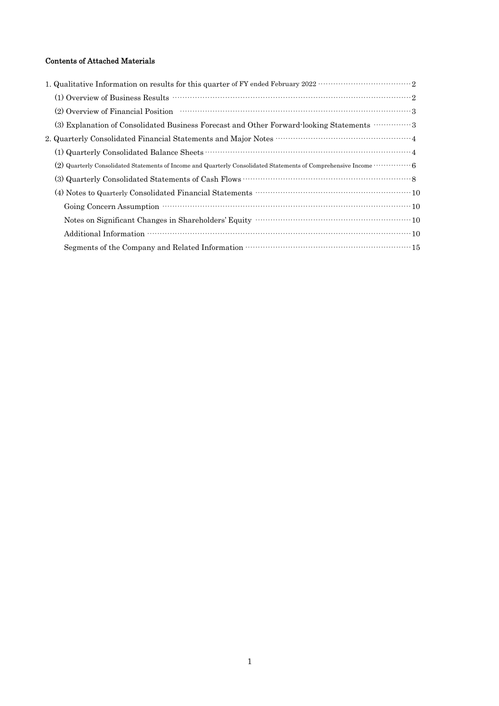## Contents of Attached Materials

| (2) Overview of Financial Position (2) Overview of Financial Position (3) Overview of Financial Position (3)           |
|------------------------------------------------------------------------------------------------------------------------|
| (3) Explanation of Consolidated Business Forecast and Other Forward-looking Statements  3                              |
| 2. Quarterly Consolidated Financial Statements and Major Notes ………………………………………………4                                     |
|                                                                                                                        |
| (2) Quarterly Consolidated Statements of Income and Quarterly Consolidated Statements of Comprehensive Income $\cdots$ |
|                                                                                                                        |
|                                                                                                                        |
|                                                                                                                        |
|                                                                                                                        |
|                                                                                                                        |
|                                                                                                                        |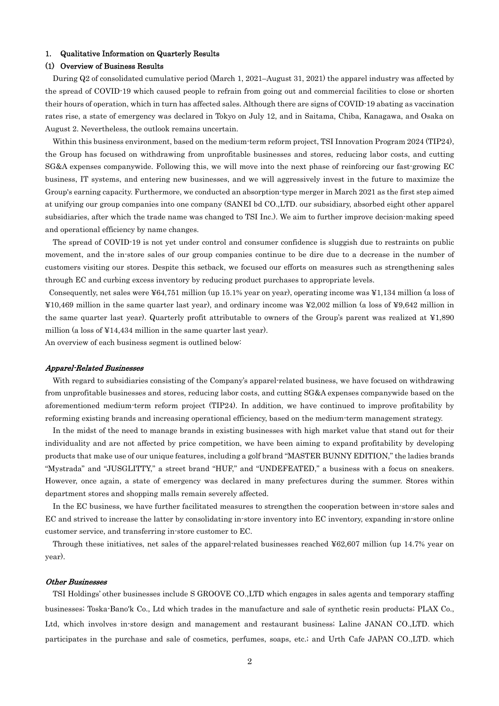### 1. Qualitative Information on Quarterly Results

### (1) Overview of Business Results

During Q2 of consolidated cumulative period (March 1, 2021–August 31, 2021) the apparel industry was affected by the spread of COVID-19 which caused people to refrain from going out and commercial facilities to close or shorten their hours of operation, which in turn has affected sales. Although there are signs of COVID-19 abating as vaccination rates rise, a state of emergency was declared in Tokyo on July 12, and in Saitama, Chiba, Kanagawa, and Osaka on August 2. Nevertheless, the outlook remains uncertain.

Within this business environment, based on the medium-term reform project. TSI Innovation Program 2024 (TIP24), the Group has focused on withdrawing from unprofitable businesses and stores, reducing labor costs, and cutting SG&A expenses companywide. Following this, we will move into the next phase of reinforcing our fast-growing EC business, IT systems, and entering new businesses, and we will aggressively invest in the future to maximize the Group's earning capacity. Furthermore, we conducted an absorption-type merger in March 2021 as the first step aimed at unifying our group companies into one company (SANEI bd CO.,LTD. our subsidiary, absorbed eight other apparel subsidiaries, after which the trade name was changed to TSI Inc.). We aim to further improve decision-making speed and operational efficiency by name changes.

The spread of COVID-19 is not yet under control and consumer confidence is sluggish due to restraints on public movement, and the in-store sales of our group companies continue to be dire due to a decrease in the number of customers visiting our stores. Despite this setback, we focused our efforts on measures such as strengthening sales through EC and curbing excess inventory by reducing product purchases to appropriate levels.

 Consequently, net sales were ¥64,751 million (up 15.1% year on year), operating income was ¥1,134 million (a loss of ¥10,469 million in the same quarter last year), and ordinary income was ¥2,002 million (a loss of ¥9,642 million in the same quarter last year). Quarterly profit attributable to owners of the Group's parent was realized at ¥1,890 million (a loss of ¥14,434 million in the same quarter last year).

An overview of each business segment is outlined below:

### Apparel-Related Businesses

With regard to subsidiaries consisting of the Company's apparel-related business, we have focused on withdrawing from unprofitable businesses and stores, reducing labor costs, and cutting SG&A expenses companywide based on the aforementioned medium-term reform project (TIP24). In addition, we have continued to improve profitability by reforming existing brands and increasing operational efficiency, based on the medium-term management strategy.

In the midst of the need to manage brands in existing businesses with high market value that stand out for their individuality and are not affected by price competition, we have been aiming to expand profitability by developing products that make use of our unique features, including a golf brand "MASTER BUNNY EDITION," the ladies brands "Mystrada" and "JUSGLITTY," a street brand "HUF," and "UNDEFEATED," a business with a focus on sneakers. However, once again, a state of emergency was declared in many prefectures during the summer. Stores within department stores and shopping malls remain severely affected.

In the EC business, we have further facilitated measures to strengthen the cooperation between in-store sales and EC and strived to increase the latter by consolidating in-store inventory into EC inventory, expanding in-store online customer service, and transferring in-store customer to EC.

Through these initiatives, net sales of the apparel-related businesses reached ¥62,607 million (up 14.7% year on year).

#### Other Businesses

TSI Holdings' other businesses include S GROOVE CO.,LTD which engages in sales agents and temporary staffing businesses; Toska-Bano'k Co., Ltd which trades in the manufacture and sale of synthetic resin products; PLAX Co., Ltd, which involves in-store design and management and restaurant business; Laline JANAN CO.,LTD. which participates in the purchase and sale of cosmetics, perfumes, soaps, etc.; and Urth Cafe JAPAN CO.,LTD. which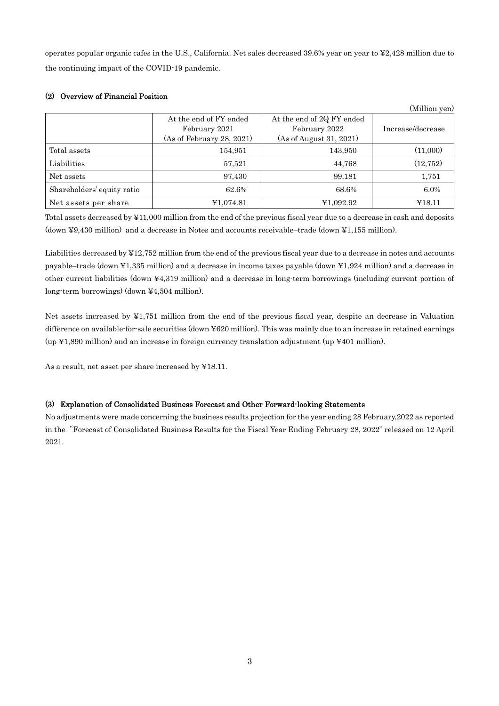operates popular organic cafes in the U.S., California. Net sales decreased 39.6% year on year to ¥2,428 million due to the continuing impact of the COVID-19 pandemic.

|                            |                                                                      |                                                                       | (Million yen)     |
|----------------------------|----------------------------------------------------------------------|-----------------------------------------------------------------------|-------------------|
|                            | At the end of FY ended<br>February 2021<br>(As of February 28, 2021) | At the end of 2Q FY ended<br>February 2022<br>(As of August 31, 2021) | Increase/decrease |
| Total assets               | 154,951                                                              | 143,950                                                               | (11,000)          |
| Liabilities                | 57,521                                                               | 44,768                                                                | (12, 752)         |
| Net assets                 | 97,430                                                               | 99,181                                                                | 1,751             |
| Shareholders' equity ratio | 62.6%                                                                | 68.6%                                                                 | $6.0\%$           |
| Net assets per share       | ¥1,074.81                                                            | ¥1,092.92                                                             | ¥18.11            |

## (2) Overview of Financial Position

Total assets decreased by ¥11,000 million from the end of the previous fiscal year due to a decrease in cash and deposits (down ¥9,430 million) and a decrease in Notes and accounts receivable–trade (down ¥1,155 million).

Liabilities decreased by ¥12,752 million from the end of the previous fiscal year due to a decrease in notes and accounts payable–trade (down ¥1,335 million) and a decrease in income taxes payable (down ¥1,924 million) and a decrease in other current liabilities (down ¥4,319 million) and a decrease in long-term borrowings (including current portion of long-term borrowings) (down ¥4,504 million).

Net assets increased by ¥1,751 million from the end of the previous fiscal year, despite an decrease in Valuation difference on available-for-sale securities (down ¥620 million). This was mainly due to an increase in retained earnings (up ¥1,890 million) and an increase in foreign currency translation adjustment (up ¥401 million).

As a result, net asset per share increased by ¥18.11.

### (3) Explanation of Consolidated Business Forecast and Other Forward-looking Statements

No adjustments were made concerning the business results projection for the year ending 28 February,2022 as reported in the"Forecast of Consolidated Business Results for the Fiscal Year Ending February 28, 2022" released on 12 April 2021.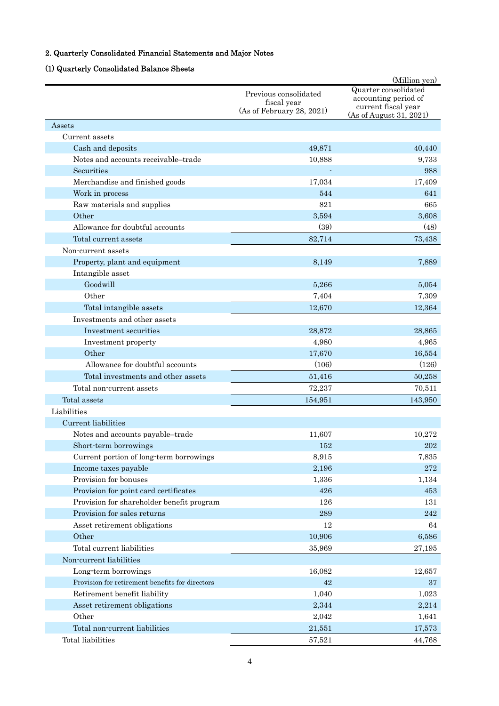# 2. Quarterly Consolidated Financial Statements and Major Notes

## (1) Quarterly Consolidated Balance Sheets

|                                                 |                                                                   | (Million yen)                                                                                  |
|-------------------------------------------------|-------------------------------------------------------------------|------------------------------------------------------------------------------------------------|
|                                                 | Previous consolidated<br>fiscal year<br>(As of February 28, 2021) | Quarter consolidated<br>accounting period of<br>current fiscal year<br>(As of August 31, 2021) |
| Assets                                          |                                                                   |                                                                                                |
| Current assets                                  |                                                                   |                                                                                                |
| Cash and deposits                               | 49,871                                                            | 40,440                                                                                         |
| Notes and accounts receivable-trade             | 10,888                                                            | 9,733                                                                                          |
| Securities                                      |                                                                   | 988                                                                                            |
| Merchandise and finished goods                  | 17,034                                                            | 17,409                                                                                         |
| Work in process                                 | 544                                                               | 641                                                                                            |
| Raw materials and supplies                      | 821                                                               | 665                                                                                            |
| Other                                           | 3,594                                                             | 3,608                                                                                          |
| Allowance for doubtful accounts                 | (39)                                                              | (48)                                                                                           |
| Total current assets                            | 82,714                                                            | 73,438                                                                                         |
| Non-current assets                              |                                                                   |                                                                                                |
| Property, plant and equipment                   | 8,149                                                             | 7,889                                                                                          |
| Intangible asset                                |                                                                   |                                                                                                |
| Goodwill                                        | 5,266                                                             | 5,054                                                                                          |
| Other                                           | 7,404                                                             | 7,309                                                                                          |
| Total intangible assets                         | 12,670                                                            | 12,364                                                                                         |
| Investments and other assets                    |                                                                   |                                                                                                |
| Investment securities                           | 28,872                                                            | 28,865                                                                                         |
| Investment property                             | 4,980                                                             | 4,965                                                                                          |
| Other                                           | 17,670                                                            | 16,554                                                                                         |
| Allowance for doubtful accounts                 | (106)                                                             | (126)                                                                                          |
| Total investments and other assets              | 51,416                                                            | 50,258                                                                                         |
| Total non-current assets                        | 72,237                                                            | 70,511                                                                                         |
| Total assets                                    | 154,951                                                           | 143,950                                                                                        |
| Liabilities                                     |                                                                   |                                                                                                |
| Current liabilities                             |                                                                   |                                                                                                |
| Notes and accounts payable-trade                | 11,607                                                            | 10,272                                                                                         |
| Short-term borrowings                           | 152                                                               | 202                                                                                            |
| Current portion of long-term borrowings         | 8,915                                                             | 7,835                                                                                          |
| Income taxes payable                            | 2,196                                                             | 272                                                                                            |
| Provision for bonuses                           | 1,336                                                             | 1,134                                                                                          |
| Provision for point card certificates           | 426                                                               | 453                                                                                            |
| Provision for shareholder benefit program       | 126                                                               | 131                                                                                            |
| Provision for sales returns                     | 289                                                               | 242                                                                                            |
| Asset retirement obligations                    | 12                                                                | 64                                                                                             |
| Other                                           | 10,906                                                            | 6,586                                                                                          |
| Total current liabilities                       | 35,969                                                            | 27,195                                                                                         |
| Non-current liabilities                         |                                                                   |                                                                                                |
| Long-term borrowings                            | 16,082                                                            | 12,657                                                                                         |
| Provision for retirement benefits for directors | 42                                                                | 37                                                                                             |
| Retirement benefit liability                    | 1,040                                                             | 1,023                                                                                          |
| Asset retirement obligations                    | 2,344                                                             | 2,214                                                                                          |
| Other                                           | 2,042                                                             | 1,641                                                                                          |
| Total non-current liabilities                   | 21,551                                                            | 17,573                                                                                         |
| Total liabilities                               | 57,521                                                            | 44,768                                                                                         |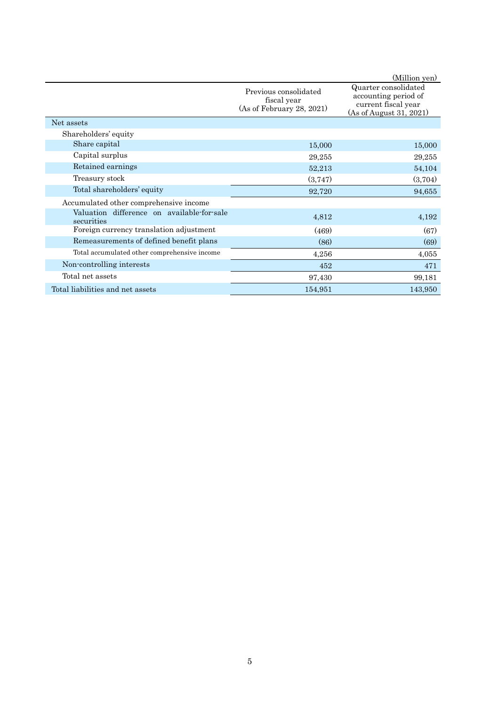|                                                          |                                                                   | (Million yen)                                                                                  |
|----------------------------------------------------------|-------------------------------------------------------------------|------------------------------------------------------------------------------------------------|
|                                                          | Previous consolidated<br>fiscal year<br>(As of February 28, 2021) | Quarter consolidated<br>accounting period of<br>current fiscal year<br>(As of August 31, 2021) |
| Net assets                                               |                                                                   |                                                                                                |
| Shareholders' equity                                     |                                                                   |                                                                                                |
| Share capital                                            | 15,000                                                            | 15,000                                                                                         |
| Capital surplus                                          | 29,255                                                            | 29,255                                                                                         |
| Retained earnings                                        | 52,213                                                            | 54,104                                                                                         |
| Treasury stock                                           | (3,747)                                                           | (3,704)                                                                                        |
| Total shareholders' equity                               | 92,720                                                            | 94,655                                                                                         |
| Accumulated other comprehensive income                   |                                                                   |                                                                                                |
| Valuation difference on available-for-sale<br>securities | 4,812                                                             | 4,192                                                                                          |
| Foreign currency translation adjustment                  | (469)                                                             | (67)                                                                                           |
| Remeasurements of defined benefit plans                  | (86)                                                              | (69)                                                                                           |
| Total accumulated other comprehensive income             | 4,256                                                             | 4,055                                                                                          |
| Non-controlling interests                                | 452                                                               | 471                                                                                            |
| Total net assets                                         | 97,430                                                            | 99,181                                                                                         |
| Total liabilities and net assets                         | 154,951                                                           | 143,950                                                                                        |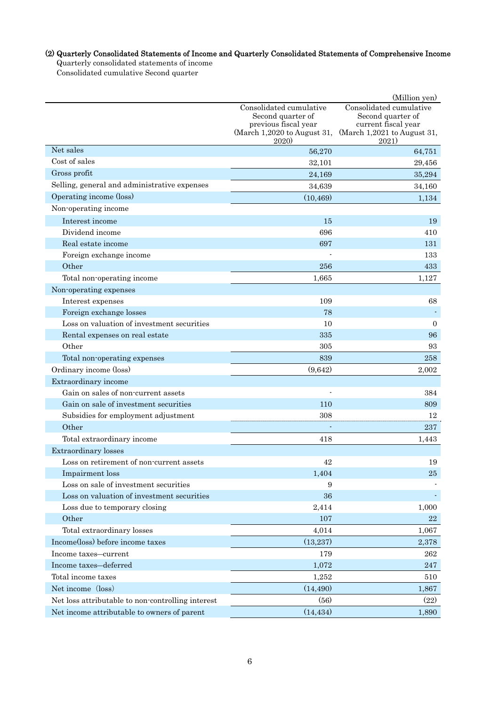# (2) Quarterly Consolidated Statements of Income and Quarterly Consolidated Statements of Comprehensive Income

Quarterly consolidated statements of income

Consolidated cumulative Second quarter

|                                                   |                                                                                       | (Million yen)               |  |  |
|---------------------------------------------------|---------------------------------------------------------------------------------------|-----------------------------|--|--|
|                                                   | Consolidated cumulative<br>Consolidated cumulative                                    |                             |  |  |
|                                                   | Second quarter of<br>Second quarter of<br>previous fiscal year<br>current fiscal year |                             |  |  |
|                                                   | (March 1,2020 to August 31,                                                           | (March 1,2021 to August 31, |  |  |
|                                                   | <b>2020</b>                                                                           | 2021)                       |  |  |
| Net sales                                         | 56,270                                                                                | 64,751                      |  |  |
| Cost of sales                                     | 32,101                                                                                | 29,456                      |  |  |
| Gross profit                                      | 24,169                                                                                | 35,294                      |  |  |
| Selling, general and administrative expenses      | 34,639                                                                                | 34,160                      |  |  |
| Operating income (loss)                           | (10, 469)                                                                             | 1,134                       |  |  |
| Non-operating income                              |                                                                                       |                             |  |  |
| Interest income                                   | 15                                                                                    | 19                          |  |  |
| Dividend income                                   | 696                                                                                   | 410                         |  |  |
| Real estate income                                | 697                                                                                   | 131                         |  |  |
| Foreign exchange income                           |                                                                                       | 133                         |  |  |
| Other                                             | 256                                                                                   | 433                         |  |  |
| Total non-operating income                        | 1,665                                                                                 | 1,127                       |  |  |
| Non-operating expenses                            |                                                                                       |                             |  |  |
| Interest expenses                                 | 109                                                                                   | 68                          |  |  |
| Foreign exchange losses                           | 78                                                                                    |                             |  |  |
| Loss on valuation of investment securities        | 10                                                                                    | $\overline{0}$              |  |  |
| Rental expenses on real estate                    | 335                                                                                   | 96                          |  |  |
| Other                                             | 305                                                                                   | 93                          |  |  |
| Total non-operating expenses                      | 839                                                                                   | 258                         |  |  |
| Ordinary income (loss)                            | (9,642)                                                                               | 2,002                       |  |  |
| Extraordinary income                              |                                                                                       |                             |  |  |
| Gain on sales of non-current assets               |                                                                                       | 384                         |  |  |
| Gain on sale of investment securities             | 110                                                                                   | 809                         |  |  |
| Subsidies for employment adjustment               | 308                                                                                   | 12                          |  |  |
| Other                                             |                                                                                       | 237                         |  |  |
| Total extraordinary income                        | 418                                                                                   | 1,443                       |  |  |
| <b>Extraordinary</b> losses                       |                                                                                       |                             |  |  |
| Loss on retirement of non-current assets          | 42                                                                                    | 19                          |  |  |
| Impairment loss                                   | 1,404                                                                                 | 25                          |  |  |
| Loss on sale of investment securities             | 9                                                                                     |                             |  |  |
| Loss on valuation of investment securities        | 36                                                                                    |                             |  |  |
| Loss due to temporary closing                     | 2,414                                                                                 | 1,000                       |  |  |
| Other                                             | 107                                                                                   | 22                          |  |  |
| Total extraordinary losses                        | 4,014                                                                                 | 1,067                       |  |  |
| Income(loss) before income taxes                  | (13,237)                                                                              | 2,378                       |  |  |
| Income taxes-current                              | 179                                                                                   | 262                         |  |  |
| Income taxes-deferred                             | 1,072                                                                                 | $\bf 247$                   |  |  |
| Total income taxes                                | 1,252                                                                                 | 510                         |  |  |
| Net income (loss)                                 | (14, 490)                                                                             | 1,867                       |  |  |
| Net loss attributable to non-controlling interest | (56)                                                                                  | (22)                        |  |  |
| Net income attributable to owners of parent       | (14, 434)                                                                             | 1,890                       |  |  |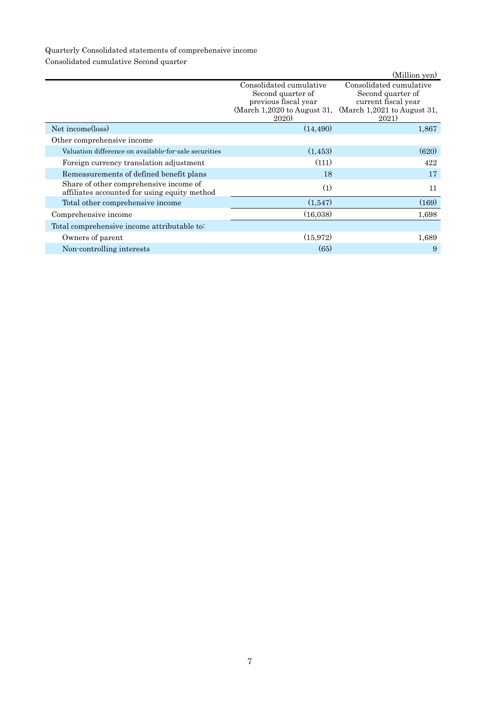# Quarterly Consolidated statements of comprehensive income

Consolidated cumulative Second quarter

|                                                                                        |                                                                                                                    | (Million yen)                                                                                               |
|----------------------------------------------------------------------------------------|--------------------------------------------------------------------------------------------------------------------|-------------------------------------------------------------------------------------------------------------|
|                                                                                        | Consolidated cumulative<br>Second quarter of<br>previous fiscal year<br>(March 1,2020 to August 31,<br><b>2020</b> | Consolidated cumulative<br>Second quarter of<br>current fiscal year<br>(March 1,2021 to August 31,<br>2021) |
| Net income(loss)                                                                       | (14, 490)                                                                                                          | 1,867                                                                                                       |
| Other comprehensive income                                                             |                                                                                                                    |                                                                                                             |
| Valuation difference on available for sale securities                                  | (1,453)                                                                                                            | (620)                                                                                                       |
| Foreign currency translation adjustment                                                | (111)                                                                                                              | 422                                                                                                         |
| Remeasurements of defined benefit plans                                                | 18                                                                                                                 | 17                                                                                                          |
| Share of other comprehensive income of<br>affiliates accounted for using equity method | (1)                                                                                                                | 11                                                                                                          |
| Total other comprehensive income                                                       | (1,547)                                                                                                            | (169)                                                                                                       |
| Comprehensive income                                                                   | (16,038)                                                                                                           | 1,698                                                                                                       |
| Total comprehensive income attributable to:                                            |                                                                                                                    |                                                                                                             |
| Owners of parent                                                                       | (15, 972)                                                                                                          | 1,689                                                                                                       |
| Non-controlling interests                                                              | (65)                                                                                                               | 9                                                                                                           |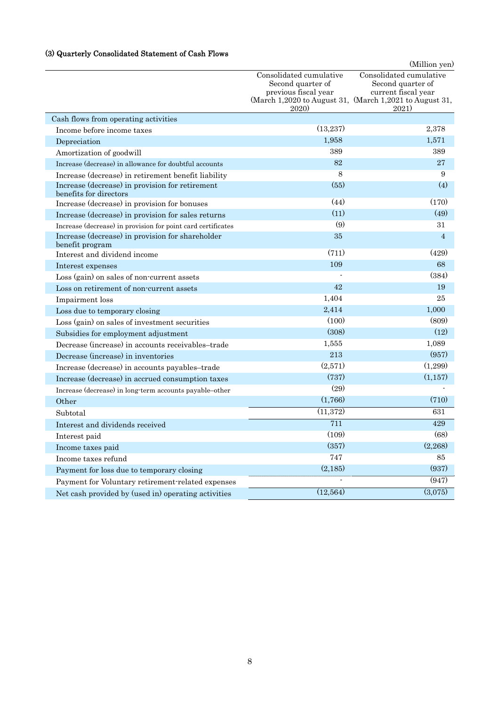## (3) Quarterly Consolidated Statement of Cash Flows

|                                                                           |                                                                                     | (Million yen)                                                                                                                           |
|---------------------------------------------------------------------------|-------------------------------------------------------------------------------------|-----------------------------------------------------------------------------------------------------------------------------------------|
|                                                                           | Consolidated cumulative<br>Second quarter of<br>previous fiscal year<br><b>2020</b> | Consolidated cumulative<br>Second quarter of<br>current fiscal year<br>(March 1,2020 to August 31, (March 1,2021 to August 31,<br>2021) |
| Cash flows from operating activities                                      |                                                                                     |                                                                                                                                         |
| Income before income taxes                                                | (13,237)                                                                            | 2,378                                                                                                                                   |
| Depreciation                                                              | 1,958                                                                               | 1,571                                                                                                                                   |
| Amortization of goodwill                                                  | 389                                                                                 | 389                                                                                                                                     |
| Increase (decrease) in allowance for doubtful accounts                    | 82                                                                                  | 27                                                                                                                                      |
| Increase (decrease) in retirement benefit liability                       | 8                                                                                   | 9                                                                                                                                       |
| Increase (decrease) in provision for retirement<br>benefits for directors | (55)                                                                                | (4)                                                                                                                                     |
| Increase (decrease) in provision for bonuses                              | (44)                                                                                | (170)                                                                                                                                   |
| Increase (decrease) in provision for sales returns                        | (11)                                                                                | (49)                                                                                                                                    |
| Increase (decrease) in provision for point card certificates              | (9)                                                                                 | 31                                                                                                                                      |
| Increase (decrease) in provision for shareholder<br>benefit program       | 35                                                                                  | 4                                                                                                                                       |
| Interest and dividend income                                              | (711)                                                                               | (429)                                                                                                                                   |
| Interest expenses                                                         | 109                                                                                 | 68                                                                                                                                      |
| Loss (gain) on sales of non-current assets                                |                                                                                     | (384)                                                                                                                                   |
| Loss on retirement of non-current assets                                  | 42                                                                                  | 19                                                                                                                                      |
| Impairment loss                                                           | 1,404                                                                               | 25                                                                                                                                      |
| Loss due to temporary closing                                             | 2,414                                                                               | 1,000                                                                                                                                   |
| Loss (gain) on sales of investment securities                             | (100)                                                                               | (809)                                                                                                                                   |
| Subsidies for employment adjustment                                       | (308)                                                                               | (12)                                                                                                                                    |
| Decrease (increase) in accounts receivables-trade                         | 1,555                                                                               | 1,089                                                                                                                                   |
| Decrease (increase) in inventories                                        | 213                                                                                 | (957)                                                                                                                                   |
| Increase (decrease) in accounts payables-trade                            | (2,571)                                                                             | (1,299)                                                                                                                                 |
| Increase (decrease) in accrued consumption taxes                          | (737)                                                                               | (1, 157)                                                                                                                                |
| Increase (decrease) in long-term accounts payable-other                   | (29)                                                                                |                                                                                                                                         |
| Other                                                                     | (1,766)                                                                             | (710)                                                                                                                                   |
| Subtotal                                                                  | (11, 372)                                                                           | 631                                                                                                                                     |
| Interest and dividends received                                           | 711                                                                                 | 429                                                                                                                                     |
| Interest paid                                                             | (109)                                                                               | (68)                                                                                                                                    |
| Income taxes paid                                                         | (357)                                                                               | (2,268)                                                                                                                                 |
| Income taxes refund                                                       | 747                                                                                 | 85                                                                                                                                      |
| Payment for loss due to temporary closing                                 | (2,185)                                                                             | (937)                                                                                                                                   |
| Payment for Voluntary retirement-related expenses                         |                                                                                     | (947)                                                                                                                                   |
| Net cash provided by (used in) operating activities                       | (12, 564)                                                                           | (3,075)                                                                                                                                 |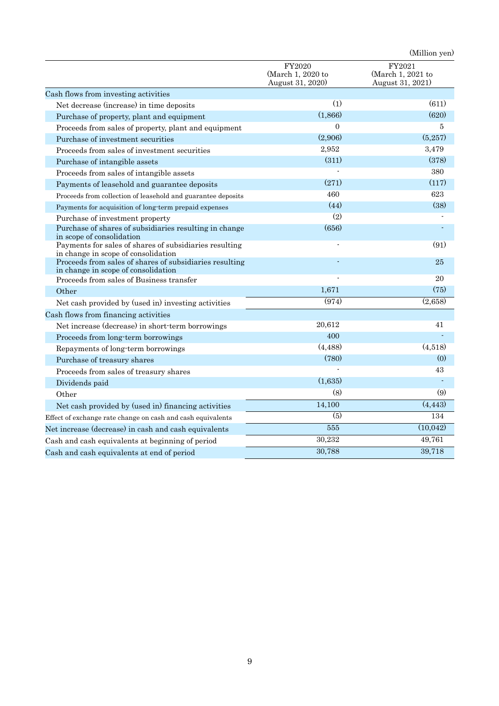|                                                                                                |                                                 | (Million yen)                                   |
|------------------------------------------------------------------------------------------------|-------------------------------------------------|-------------------------------------------------|
|                                                                                                | FY2020<br>(March 1, 2020 to<br>August 31, 2020) | FY2021<br>(March 1, 2021 to<br>August 31, 2021) |
| Cash flows from investing activities                                                           |                                                 |                                                 |
| Net decrease (increase) in time deposits                                                       | (1)                                             | (611)                                           |
| Purchase of property, plant and equipment                                                      | (1,866)                                         | (620)                                           |
| Proceeds from sales of property, plant and equipment                                           | $\overline{0}$                                  | 5                                               |
| Purchase of investment securities                                                              | (2,906)                                         | (5,257)                                         |
| Proceeds from sales of investment securities                                                   | 2,952                                           | 3,479                                           |
| Purchase of intangible assets                                                                  | (311)                                           | (378)                                           |
| Proceeds from sales of intangible assets                                                       |                                                 | 380                                             |
| Payments of leasehold and guarantee deposits                                                   | (271)                                           | (117)                                           |
| Proceeds from collection of leasehold and guarantee deposits                                   | 460                                             | 623                                             |
| Payments for acquisition of long-term prepaid expenses                                         | (44)                                            | (38)                                            |
| Purchase of investment property                                                                | (2)                                             |                                                 |
| Purchase of shares of subsidiaries resulting in change<br>in scope of consolidation            | (656)                                           |                                                 |
| Payments for sales of shares of subsidiaries resulting<br>in change in scope of consolidation  |                                                 | (91)                                            |
| Proceeds from sales of shares of subsidiaries resulting<br>in change in scope of consolidation |                                                 | 25                                              |
| Proceeds from sales of Business transfer                                                       |                                                 | 20                                              |
| Other                                                                                          | 1,671                                           | (75)                                            |
| Net cash provided by (used in) investing activities                                            | (974)                                           | (2,658)                                         |
| Cash flows from financing activities                                                           |                                                 |                                                 |
| Net increase (decrease) in short-term borrowings                                               | 20,612                                          | 41                                              |
| Proceeds from long-term borrowings                                                             | 400                                             |                                                 |
| Repayments of long-term borrowings                                                             | (4, 488)                                        | (4,518)                                         |
| Purchase of treasury shares                                                                    | (780)                                           | (0)                                             |
| Proceeds from sales of treasury shares                                                         |                                                 | 43                                              |
| Dividends paid                                                                                 | (1,635)                                         |                                                 |
| Other                                                                                          | (8)                                             | (9)                                             |
| Net cash provided by (used in) financing activities                                            | 14,100                                          | (4, 443)                                        |
| Effect of exchange rate change on cash and cash equivalents                                    | (5)                                             | 134                                             |
| Net increase (decrease) in cash and cash equivalents                                           | 555                                             | (10, 042)                                       |
| Cash and cash equivalents at beginning of period                                               | 30,232                                          | 49,761                                          |
| Cash and cash equivalents at end of period                                                     | 30,788                                          | 39,718                                          |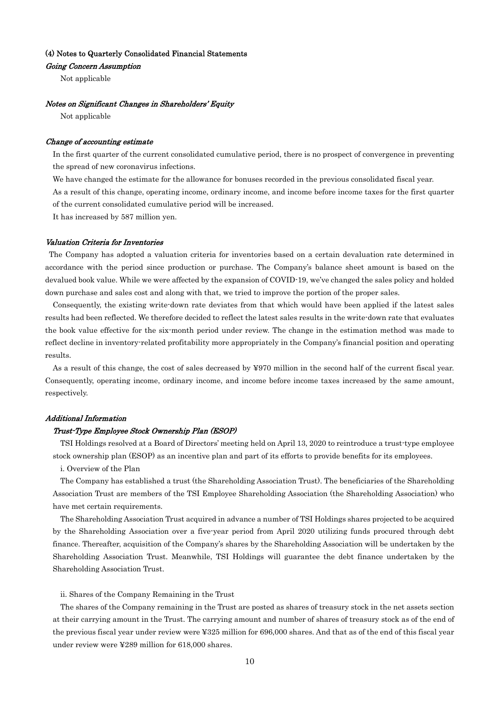### (4) Notes to Quarterly Consolidated Financial Statements

### Going Concern Assumption

Not applicable

#### Notes on Significant Changes in Shareholders' Equity

Not applicable

### Change of accounting estimate

In the first quarter of the current consolidated cumulative period, there is no prospect of convergence in preventing the spread of new coronavirus infections.

We have changed the estimate for the allowance for bonuses recorded in the previous consolidated fiscal year.

As a result of this change, operating income, ordinary income, and income before income taxes for the first quarter of the current consolidated cumulative period will be increased.

It has increased by 587 million yen.

### Valuation Criteria for Inventories

 The Company has adopted a valuation criteria for inventories based on a certain devaluation rate determined in accordance with the period since production or purchase. The Company's balance sheet amount is based on the devalued book value. While we were affected by the expansion of COVID-19, we've changed the sales policy and holded down purchase and sales cost and along with that, we tried to improve the portion of the proper sales.

Consequently, the existing write-down rate deviates from that which would have been applied if the latest sales results had been reflected. We therefore decided to reflect the latest sales results in the write-down rate that evaluates the book value effective for the six-month period under review. The change in the estimation method was made to reflect decline in inventory-related profitability more appropriately in the Company's financial position and operating results.

As a result of this change, the cost of sales decreased by ¥970 million in the second half of the current fiscal year. Consequently, operating income, ordinary income, and income before income taxes increased by the same amount, respectively.

### Additional Information

#### Trust-Type Employee Stock Ownership Plan (ESOP)

TSI Holdings resolved at a Board of Directors' meeting held on April 13, 2020 to reintroduce a trust-type employee stock ownership plan (ESOP) as an incentive plan and part of its efforts to provide benefits for its employees.

i. Overview of the Plan

The Company has established a trust (the Shareholding Association Trust). The beneficiaries of the Shareholding Association Trust are members of the TSI Employee Shareholding Association (the Shareholding Association) who have met certain requirements.

The Shareholding Association Trust acquired in advance a number of TSI Holdings shares projected to be acquired by the Shareholding Association over a five-year period from April 2020 utilizing funds procured through debt finance. Thereafter, acquisition of the Company's shares by the Shareholding Association will be undertaken by the Shareholding Association Trust. Meanwhile, TSI Holdings will guarantee the debt finance undertaken by the Shareholding Association Trust.

#### ii. Shares of the Company Remaining in the Trust

The shares of the Company remaining in the Trust are posted as shares of treasury stock in the net assets section at their carrying amount in the Trust. The carrying amount and number of shares of treasury stock as of the end of the previous fiscal year under review were ¥325 million for 696,000 shares. And that as of the end of this fiscal year under review were ¥289 million for 618,000 shares.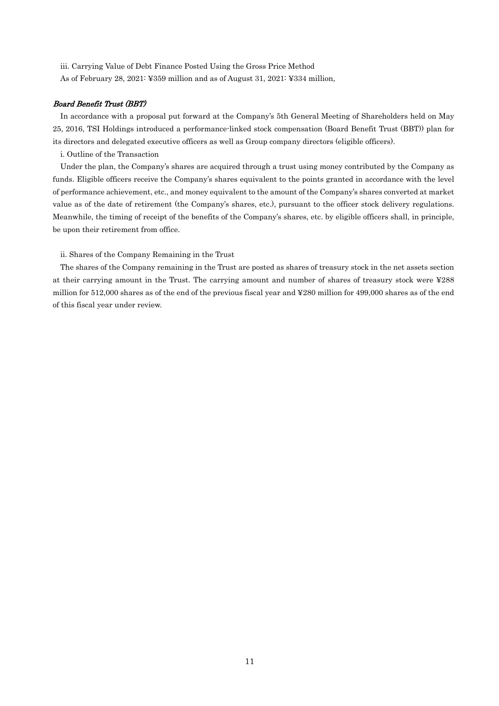iii. Carrying Value of Debt Finance Posted Using the Gross Price Method As of February 28, 2021: ¥359 million and as of August 31, 2021: ¥334 million,

### Board Benefit Trust (BBT)

In accordance with a proposal put forward at the Company's 5th General Meeting of Shareholders held on May 25, 2016, TSI Holdings introduced a performance-linked stock compensation (Board Benefit Trust (BBT)) plan for its directors and delegated executive officers as well as Group company directors (eligible officers).

i. Outline of the Transaction

Under the plan, the Company's shares are acquired through a trust using money contributed by the Company as funds. Eligible officers receive the Company's shares equivalent to the points granted in accordance with the level of performance achievement, etc., and money equivalent to the amount of the Company's shares converted at market value as of the date of retirement (the Company's shares, etc.), pursuant to the officer stock delivery regulations. Meanwhile, the timing of receipt of the benefits of the Company's shares, etc. by eligible officers shall, in principle, be upon their retirement from office.

ii. Shares of the Company Remaining in the Trust

The shares of the Company remaining in the Trust are posted as shares of treasury stock in the net assets section at their carrying amount in the Trust. The carrying amount and number of shares of treasury stock were ¥288 million for 512,000 shares as of the end of the previous fiscal year and ¥280 million for 499,000 shares as of the end of this fiscal year under review.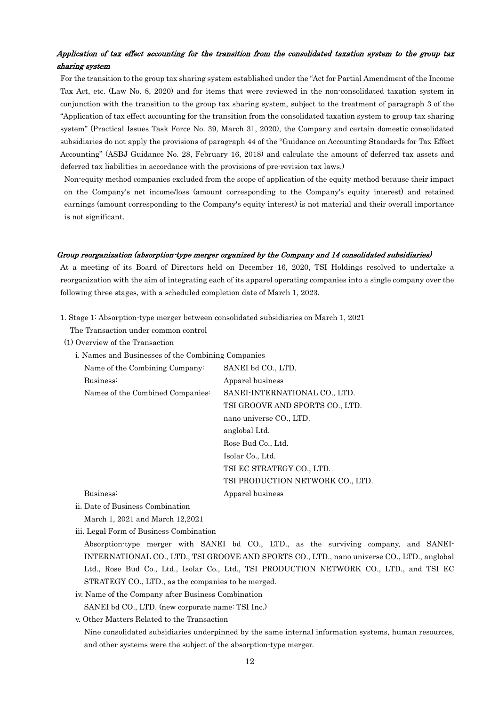## Application of tax effect accounting for the transition from the consolidated taxation system to the group tax sharing system

For the transition to the group tax sharing system established under the "Act for Partial Amendment of the Income Tax Act, etc. (Law No. 8, 2020) and for items that were reviewed in the non-consolidated taxation system in conjunction with the transition to the group tax sharing system, subject to the treatment of paragraph 3 of the "Application of tax effect accounting for the transition from the consolidated taxation system to group tax sharing system" (Practical Issues Task Force No. 39, March 31, 2020), the Company and certain domestic consolidated subsidiaries do not apply the provisions of paragraph 44 of the "Guidance on Accounting Standards for Tax Effect Accounting" (ASBJ Guidance No. 28, February 16, 2018) and calculate the amount of deferred tax assets and deferred tax liabilities in accordance with the provisions of pre-revision tax laws.)

Non-equity method companies excluded from the scope of application of the equity method because their impact on the Company's net income/loss (amount corresponding to the Company's equity interest) and retained earnings (amount corresponding to the Company's equity interest) is not material and their overall importance is not significant.

### Group reorganization (absorption-type merger organized by the Company and 14 consolidated subsidiaries)

At a meeting of its Board of Directors held on December 16, 2020, TSI Holdings resolved to undertake a reorganization with the aim of integrating each of its apparel operating companies into a single company over the following three stages, with a scheduled completion date of March 1, 2023.

1. Stage 1: Absorption-type merger between consolidated subsidiaries on March 1, 2021

The Transaction under common control

- (1) Overview of the Transaction
	- i. Names and Businesses of the Combining Companies

| Name of the Combining Company:   | SANEI bd CO., LTD.               |
|----------------------------------|----------------------------------|
| Business:                        | Apparel business                 |
| Names of the Combined Companies: | SANEI-INTERNATIONAL CO., LTD.    |
|                                  | TSI GROOVE AND SPORTS CO., LTD.  |
|                                  | nano universe CO., LTD.          |
|                                  | anglobal Ltd.                    |
|                                  | Rose Bud Co., Ltd.               |
|                                  | Isolar Co., Ltd.                 |
|                                  | TSI EC STRATEGY CO., LTD.        |
|                                  | TSI PRODUCTION NETWORK CO., LTD. |
| Business:                        | Apparel business                 |
|                                  |                                  |

ii. Date of Business Combination

March 1, 2021 and March 12,2021

iii. Legal Form of Business Combination

Absorption-type merger with SANEI bd CO., LTD., as the surviving company, and SANEI-INTERNATIONAL CO., LTD., TSI GROOVE AND SPORTS CO., LTD., nano universe CO., LTD., anglobal Ltd., Rose Bud Co., Ltd., Isolar Co., Ltd., TSI PRODUCTION NETWORK CO., LTD., and TSI EC STRATEGY CO., LTD., as the companies to be merged.

iv. Name of the Company after Business Combination SANEI bd CO., LTD. (new corporate name: TSI Inc.)

v. Other Matters Related to the Transaction

Nine consolidated subsidiaries underpinned by the same internal information systems, human resources, and other systems were the subject of the absorption-type merger.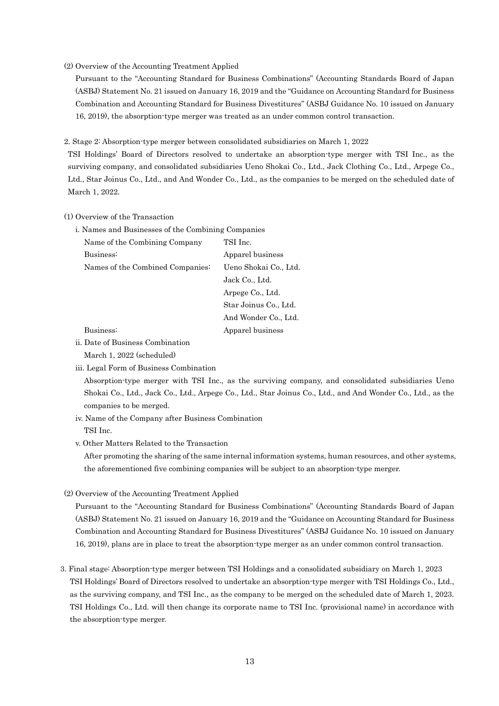### (2) Overview of the Accounting Treatment Applied

Pursuant to the "Accounting Standard for Business Combinations" (Accounting Standards Board of Japan (ASBJ) Statement No. 21 issued on January 16, 2019 and the "Guidance on Accounting Standard for Business Combination and Accounting Standard for Business Divestitures" (ASBJ Guidance No. 10 issued on January 16, 2019), the absorption-type merger was treated as an under common control transaction.

2. Stage 2: Absorption-type merger between consolidated subsidiaries on March 1, 2022

TSI Holdings' Board of Directors resolved to undertake an absorption-type merger with TSI Inc., as the surviving company, and consolidated subsidiaries Ueno Shokai Co., Ltd., Jack Clothing Co., Ltd., Arpege Co., Ltd., Star Joinus Co., Ltd., and And Wonder Co., Ltd., as the companies to be merged on the scheduled date of March 1, 2022.

### (1) Overview of the Transaction

i. Names and Businesses of the Combining Companies

| Name of the Combining Company    | TSI Inc.              |
|----------------------------------|-----------------------|
| Business:                        | Apparel business      |
| Names of the Combined Companies: | Ueno Shokai Co., Ltd. |
|                                  | Jack Co., Ltd.        |
|                                  | Arpege Co., Ltd.      |
|                                  | Star Joinus Co., Ltd. |
|                                  | And Wonder Co., Ltd.  |
| Business:                        | Apparel business      |

### ii. Date of Business Combination

March 1, 2022 (scheduled)

iii. Legal Form of Business Combination

Absorption-type merger with TSI Inc., as the surviving company, and consolidated subsidiaries Ueno Shokai Co., Ltd., Jack Co., Ltd., Arpege Co., Ltd., Star Joinus Co., Ltd., and And Wonder Co., Ltd., as the companies to be merged.

- iv. Name of the Company after Business Combination TSI Inc.
- v. Other Matters Related to the Transaction

After promoting the sharing of the same internal information systems, human resources, and other systems, the aforementioned five combining companies will be subject to an absorption-type merger.

(2) Overview of the Accounting Treatment Applied

Pursuant to the "Accounting Standard for Business Combinations" (Accounting Standards Board of Japan (ASBJ) Statement No. 21 issued on January 16, 2019 and the "Guidance on Accounting Standard for Business Combination and Accounting Standard for Business Divestitures" (ASBJ Guidance No. 10 issued on January 16, 2019), plans are in place to treat the absorption-type merger as an under common control transaction.

3. Final stage: Absorption-type merger between TSI Holdings and a consolidated subsidiary on March 1, 2023 TSI Holdings' Board of Directors resolved to undertake an absorption-type merger with TSI Holdings Co., Ltd., as the surviving company, and TSI Inc., as the company to be merged on the scheduled date of March 1, 2023. TSI Holdings Co., Ltd. will then change its corporate name to TSI Inc. (provisional name) in accordance with the absorption-type merger.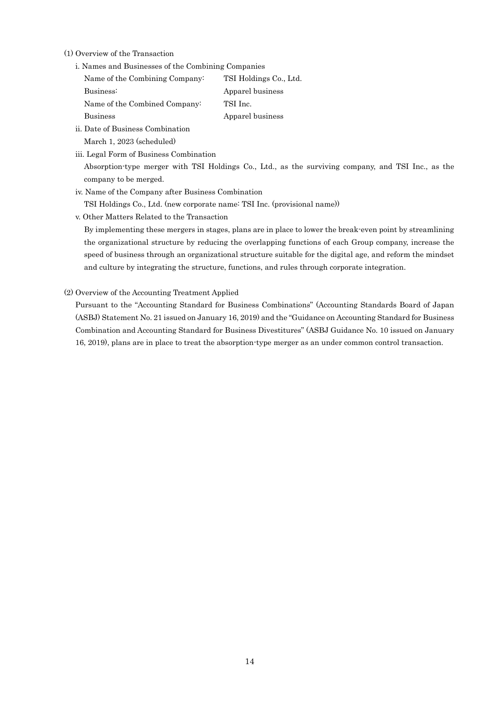(1) Overview of the Transaction

i. Names and Businesses of the Combining Companies

| Name of the Combining Company: | TSI Holdings Co., Ltd. |
|--------------------------------|------------------------|
| Business:                      | Apparel business       |
| Name of the Combined Company:  | TSI Inc.               |
| <b>Business</b>                | Apparel business       |
|                                |                        |

- ii. Date of Business Combination March 1, 2023 (scheduled)
- iii. Legal Form of Business Combination

Absorption-type merger with TSI Holdings Co., Ltd., as the surviving company, and TSI Inc., as the company to be merged.

- iv. Name of the Company after Business Combination
- TSI Holdings Co., Ltd. (new corporate name: TSI Inc. (provisional name))
- v. Other Matters Related to the Transaction

By implementing these mergers in stages, plans are in place to lower the break-even point by streamlining the organizational structure by reducing the overlapping functions of each Group company, increase the speed of business through an organizational structure suitable for the digital age, and reform the mindset and culture by integrating the structure, functions, and rules through corporate integration.

(2) Overview of the Accounting Treatment Applied

Pursuant to the "Accounting Standard for Business Combinations" (Accounting Standards Board of Japan (ASBJ) Statement No. 21 issued on January 16, 2019) and the "Guidance on Accounting Standard for Business Combination and Accounting Standard for Business Divestitures" (ASBJ Guidance No. 10 issued on January 16, 2019), plans are in place to treat the absorption-type merger as an under common control transaction.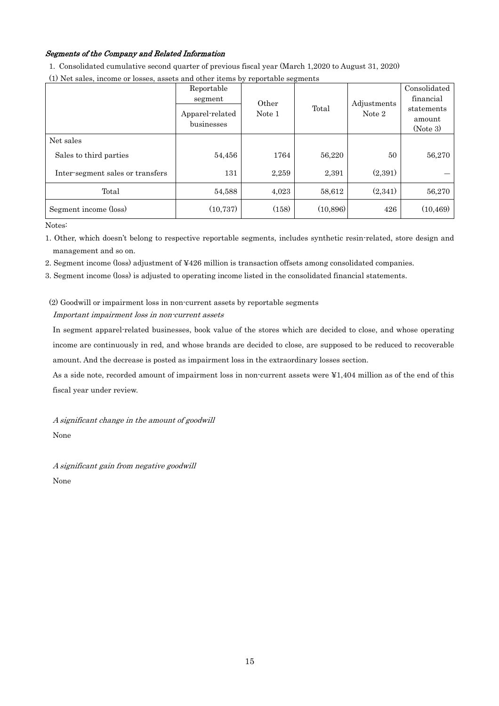## Segments of the Company and Related Information

1. Consolidated cumulative second quarter of previous fiscal year (March 1,2020 to August 31, 2020)

| (1) Net sales, income or losses, assets and other items by reportable segments |                                                        |                 |           |                       |                                                               |
|--------------------------------------------------------------------------------|--------------------------------------------------------|-----------------|-----------|-----------------------|---------------------------------------------------------------|
|                                                                                | Reportable<br>segment<br>Apparel-related<br>businesses | Other<br>Note 1 | Total     | Adjustments<br>Note 2 | Consolidated<br>financial<br>statements<br>amount<br>(Note 3) |
| Net sales                                                                      |                                                        |                 |           |                       |                                                               |
| Sales to third parties                                                         | 54,456                                                 | 1764            | 56,220    | 50                    | 56,270                                                        |
| Inter-segment sales or transfers                                               | 131                                                    | 2,259           | 2,391     | (2,391)               |                                                               |
| Total                                                                          | 54,588                                                 | 4,023           | 58,612    | (2,341)               | 56,270                                                        |
| Segment income (loss)                                                          | (10, 737)                                              | (158)           | (10, 896) | 426                   | (10, 469)                                                     |
| Notes:                                                                         |                                                        |                 |           |                       |                                                               |

(1) Net sales, income or losses, assets and other items by reportable segments

1. Other, which doesn't belong to respective reportable segments, includes synthetic resin-related, store design and management and so on.

2. Segment income (loss) adjustment of ¥426 million is transaction offsets among consolidated companies.

3. Segment income (loss) is adjusted to operating income listed in the consolidated financial statements.

(2) Goodwill or impairment loss in non-current assets by reportable segments Important impairment loss in non-current assets

In segment apparel-related businesses, book value of the stores which are decided to close, and whose operating income are continuously in red, and whose brands are decided to close, are supposed to be reduced to recoverable amount. And the decrease is posted as impairment loss in the extraordinary losses section.

As a side note, recorded amount of impairment loss in non-current assets were ¥1,404 million as of the end of this fiscal year under review.

A significant change in the amount of goodwill None

A significant gain from negative goodwill None